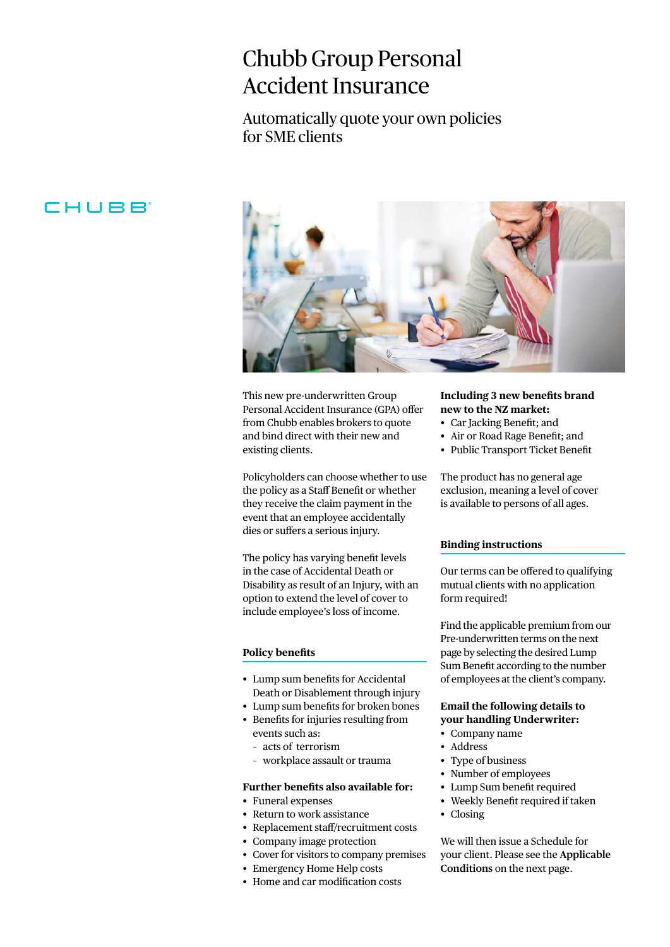# Chubb Group Personal Accident Insurance

Automatically quote your own policies for SME clients

# CHUBB



This new pre-underwritten Group Personal Accident Insurance (GPA) offer from Chubb enables brokers to quote and bind direct with their new and existing clients.

Policyholders can choose whether to use the policy as a Staff Benefit or whether they receive the claim payment in the event that an employee accidentally dies or suffers a serious injury.

The policy has varying benefit levels in the case of Accidental Death or Disability as result of an Injury, with an option to extend the level of cover to include employee's loss of income.

#### **Policy benefits**

- Lump sum benefits for Accidental Death or Disablement through injury
- Lump sum benefits for broken bones
- Benefits for injuries resulting from events such as:
	- acts of terrorism
	- workplace assault or trauma

#### **Further benefits also available for:**

- Funeral expenses
- Return to work assistance
- Replacement staff/recruitment costs
- Company image protection
- Cover for visitors to company premises
- Emergency Home Help costs
- Home and car modification costs

### **Including 3 new benefits brand new to the NZ market:**

- Car Jacking Benefit; and
- Air or Road Rage Benefit; and
- Public Transport Ticket Benefit

The product has no general age exclusion, meaning a level of cover is available to persons of all ages.

#### **Binding instructions**

Our terms can be offered to qualifying mutual clients with no application form required!

Find the applicable premium from our Pre-underwritten terms on the next page by selecting the desired Lump Sum Benefit according to the number of employees at the client's company.

# **Email the following details to your handling Underwriter:**

- Company name
- Address
- Type of business
- Number of employees
- Lump Sum benefit required
- Weekly Benefit required if taken
- Closing

We will then issue a Schedule for your client. Please see the **Applicable Conditions** on the next page.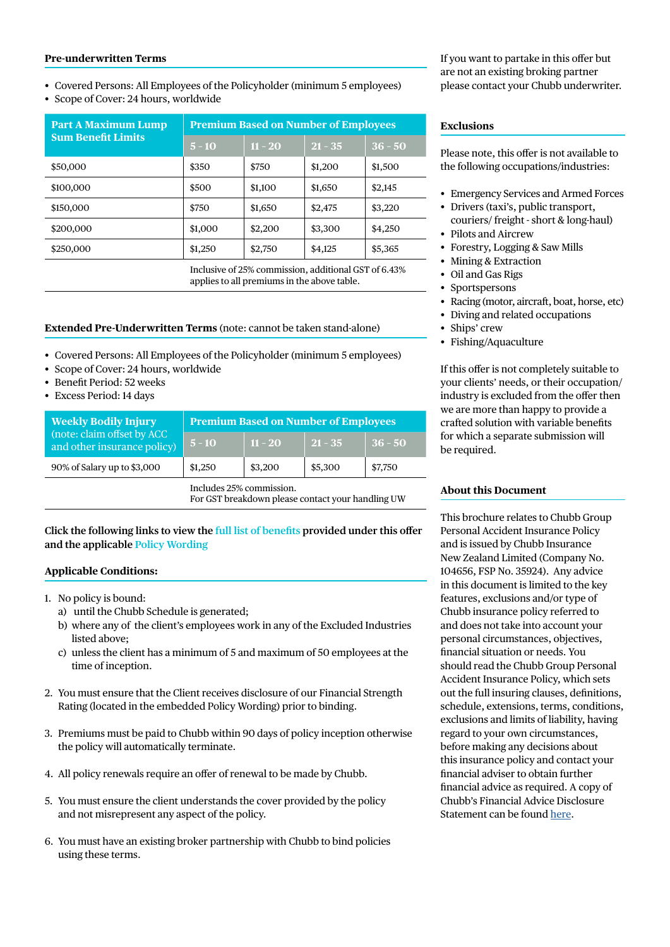#### **Pre-underwritten Terms**

• Covered Persons: All Employees of the Policyholder (minimum 5 employees)

• Scope of Cover: 24 hours, worldwide

| <b>Premium Based on Number of Employees</b> |           |  |  |
|---------------------------------------------|-----------|--|--|
| $21 - 35$                                   | $36 - 50$ |  |  |
| \$1,200                                     | \$1,500   |  |  |
| \$1,650                                     | \$2,145   |  |  |
| \$2,475                                     | \$3,220   |  |  |
| \$3,300                                     | \$4,250   |  |  |
| \$4,125                                     | \$5,365   |  |  |
|                                             |           |  |  |

Inclusive of 25% commission, additional GST of 6.43% applies to all premiums in the above table.

#### **Extended Pre-Underwritten Terms** (note: cannot be taken stand-alone)

- Covered Persons: All Employees of the Policyholder (minimum 5 employees)
- Scope of Cover: 24 hours, worldwide
- Benefit Period: 52 weeks
- Excess Period: 14 days

| <b>Weekly Bodily Injury</b><br>(note: claim offset by ACC<br>and other insurance policy) | <b>Premium Based on Number of Employees</b>                                   |           |           |           |
|------------------------------------------------------------------------------------------|-------------------------------------------------------------------------------|-----------|-----------|-----------|
|                                                                                          | $5 - 10$                                                                      | $11 - 20$ | $21 - 35$ | $36 - 50$ |
| 90% of Salary up to \$3,000                                                              | \$1,250                                                                       | \$3,200   | \$5,300   | \$7,750   |
|                                                                                          | Includes 25% commission.<br>For GST breakdown please contact your handling UW |           |           |           |

**Click the following links to view the [full list of benefits](https://www.chubb.com/nz-en/_assets/documents/gpa-example-schedule.pdf) provided under this offer and the applicable [Policy Wording](https://www.chubb.com/nz-en/_assets/documents/gpa-insurance-policy-wording.pdf)**

#### **Applicable Conditions:**

- 1. No policy is bound:
	- a) until the Chubb Schedule is generated;
	- b) where any of the client's employees work in any of the Excluded Industries listed above;
	- c) unless the client has a minimum of 5 and maximum of 50 employees at the time of inception.
- 2. You must ensure that the Client receives disclosure of our Financial Strength Rating (located in the embedded Policy Wording) prior to binding.
- 3. Premiums must be paid to Chubb within 90 days of policy inception otherwise the policy will automatically terminate.
- 4. All policy renewals require an offer of renewal to be made by Chubb.
- 5. You must ensure the client understands the cover provided by the policy and not misrepresent any aspect of the policy.
- 6. You must have an existing broker partnership with Chubb to bind policies using these terms.

If you want to partake in this offer but are not an existing broking partner please contact your Chubb underwriter.

#### **Exclusions**

Please note, this offer is not available to the following occupations/industries:

- Emergency Services and Armed Forces
- Drivers (taxi's, public transport, couriers/ freight - short & long-haul) • Pilots and Aircrew
- Forestry, Logging & Saw Mills
- Mining & Extraction
- Oil and Gas Rigs
- Sportspersons
- Racing (motor, aircraft, boat, horse, etc)
- Diving and related occupations
- Ships' crew
- Fishing/Aquaculture

If this offer is not completely suitable to your clients' needs, or their occupation/ industry is excluded from the offer then we are more than happy to provide a crafted solution with variable benefits for which a separate submission will be required.

# **About this Document**

This brochure relates to Chubb Group Personal Accident Insurance Policy and is issued by Chubb Insurance New Zealand Limited (Company No. 104656, FSP No. 35924). Any advice in this document is limited to the key features, exclusions and/or type of Chubb insurance policy referred to and does not take into account your personal circumstances, objectives, financial situation or needs. You should read the Chubb Group Personal Accident Insurance Policy, which sets out the full insuring clauses, definitions, schedule, extensions, terms, conditions, exclusions and limits of liability, having regard to your own circumstances, before making any decisions about this insurance policy and contact your financial adviser to obtain further financial advice as required. A copy of Chubb's Financial Advice Disclosure Statement can be found [here.](https://www.chubb.com/content/dam/chubb-sites/chubb-com/nz-en/customer-service/financial-advice-disclosure-statement/documents/pdfs/Chubb-Insurance-NZ-LTD-Financial-Advice-Disclosure-Statement.pdf)